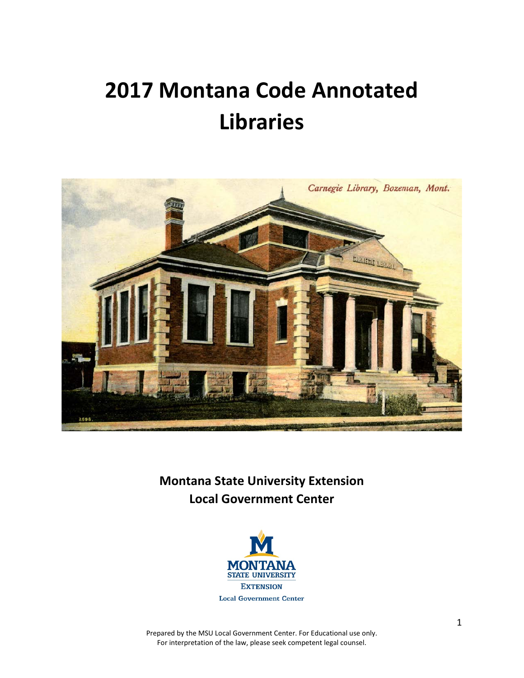# **2017 Montana Code Annotated Libraries**



**Montana State University Extension Local Government Center**



Prepared by the MSU Local Government Center. For Educational use only. For interpretation of the law, please seek competent legal counsel.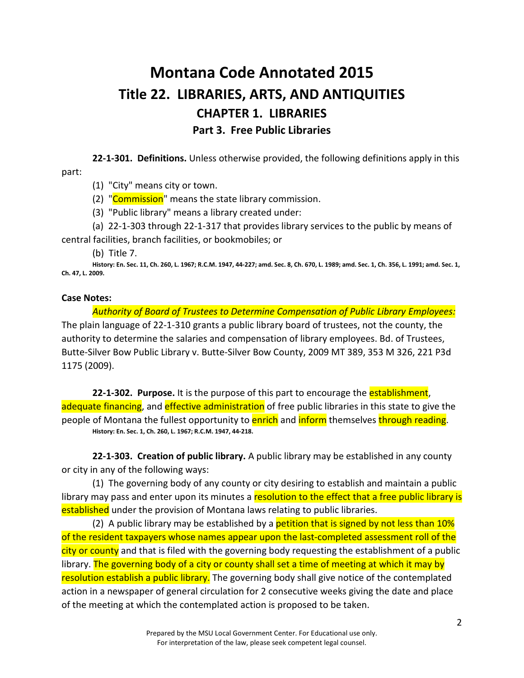# **Montana Code Annotated 2015 Title 22. LIBRARIES, ARTS, AND ANTIQUITIES CHAPTER 1. LIBRARIES Part 3. Free Public Libraries**

**22-1-301. Definitions.** Unless otherwise provided, the following definitions apply in this

part:

(1) "City" means city or town.

(2) "Commission" means the state library commission.

(3) "Public library" means a library created under:

(a) 22-1-303 through 22-1-317 that provides library services to the public by means of central facilities, branch facilities, or bookmobiles; or

(b) Title 7.

**History: En. Sec. 11, Ch. 260, L. 1967; R.C.M. 1947, 44-227; amd. Sec. 8, Ch. 670, L. 1989; amd. Sec. 1, Ch. 356, L. 1991; amd. Sec. 1, Ch. 47, L. 2009.** 

#### **Case Notes:**

*Authority of Board of Trustees to Determine Compensation of Public Library Employees:* The plain language of 22-1-310 grants a public library board of trustees, not the county, the authority to determine the salaries and compensation of library employees. Bd. of Trustees, Butte-Silver Bow Public Library v. Butte-Silver Bow County, 2009 MT 389, 353 M 326, 221 P3d 1175 (2009).

**22-1-302. Purpose.** It is the purpose of this part to encourage the establishment, adequate financing, and effective administration of free public libraries in this state to give the people of Montana the fullest opportunity to **enrich** and **inform** themselves through reading. **History: En. Sec. 1, Ch. 260, L. 1967; R.C.M. 1947, 44-218.** 

**22-1-303. Creation of public library.** A public library may be established in any county or city in any of the following ways:

(1) The governing body of any county or city desiring to establish and maintain a public library may pass and enter upon its minutes a resolution to the effect that a free public library is established under the provision of Montana laws relating to public libraries.

(2) A public library may be established by a **petition that is signed by not less than 10%** of the resident taxpayers whose names appear upon the last-completed assessment roll of the city or county and that is filed with the governing body requesting the establishment of a public library. The governing body of a city or county shall set a time of meeting at which it may by resolution establish a public library. The governing body shall give notice of the contemplated action in a newspaper of general circulation for 2 consecutive weeks giving the date and place of the meeting at which the contemplated action is proposed to be taken.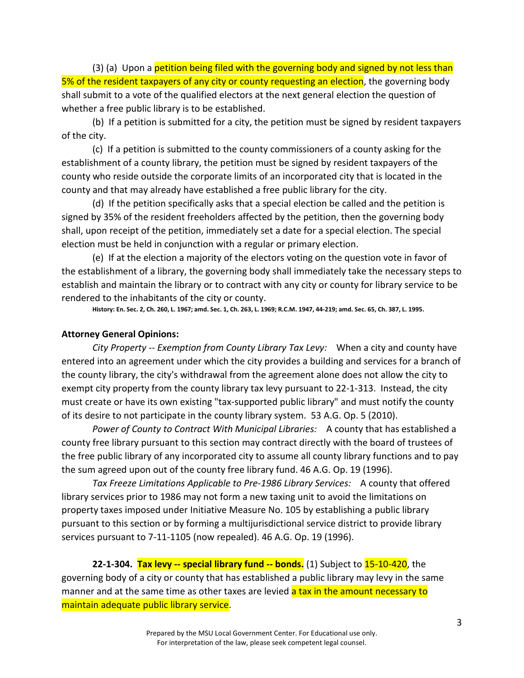(3) (a) Upon a petition being filed with the governing body and signed by not less than 5% of the resident taxpayers of any city or county requesting an election, the governing body shall submit to a vote of the qualified electors at the next general election the question of whether a free public library is to be established.

(b) If a petition is submitted for a city, the petition must be signed by resident taxpayers of the city.

(c) If a petition is submitted to the county commissioners of a county asking for the establishment of a county library, the petition must be signed by resident taxpayers of the county who reside outside the corporate limits of an incorporated city that is located in the county and that may already have established a free public library for the city.

(d) If the petition specifically asks that a special election be called and the petition is signed by 35% of the resident freeholders affected by the petition, then the governing body shall, upon receipt of the petition, immediately set a date for a special election. The special election must be held in conjunction with a regular or primary election.

(e) If at the election a majority of the electors voting on the question vote in favor of the establishment of a library, the governing body shall immediately take the necessary steps to establish and maintain the library or to contract with any city or county for library service to be rendered to the inhabitants of the city or county.

**History: En. Sec. 2, Ch. 260, L. 1967; amd. Sec. 1, Ch. 263, L. 1969; R.C.M. 1947, 44-219; amd. Sec. 65, Ch. 387, L. 1995.** 

# **Attorney General Opinions:**

*City Property -- Exemption from County Library Tax Levy:* When a city and county have entered into an agreement under which the city provides a building and services for a branch of the county library, the city's withdrawal from the agreement alone does not allow the city to exempt city property from the county library tax levy pursuant to 22-1-313. Instead, the city must create or have its own existing "tax-supported public library" and must notify the county of its desire to not participate in the county library system. 53 A.G. Op. 5 (2010).

*Power of County to Contract With Municipal Libraries:* A county that has established a county free library pursuant to this section may contract directly with the board of trustees of the free public library of any incorporated city to assume all county library functions and to pay the sum agreed upon out of the county free library fund. 46 A.G. Op. 19 (1996).

*Tax Freeze Limitations Applicable to Pre-1986 Library Services:* A county that offered library services prior to 1986 may not form a new taxing unit to avoid the limitations on property taxes imposed under Initiative Measure No. 105 by establishing a public library pursuant to this section or by forming a multijurisdictional service district to provide library services pursuant to 7-11-1105 (now repealed). 46 A.G. Op. 19 (1996).

**22-1-304. Tax levy -- special library fund -- bonds.** (1) Subject to 15-10-420, the governing body of a city or county that has established a public library may levy in the same manner and at the same time as other taxes are levied a tax in the amount necessary to maintain adequate public library service.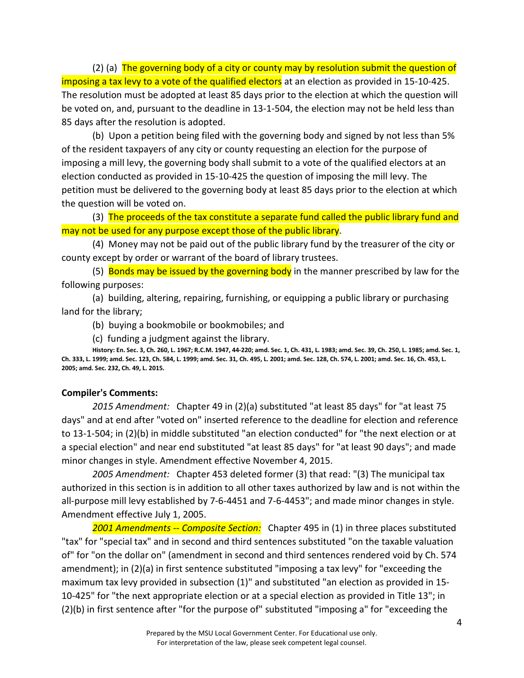(2) (a) The governing body of a city or county may by resolution submit the question of imposing a tax levy to a vote of the qualified electors at an election as provided in 15-10-425. The resolution must be adopted at least 85 days prior to the election at which the question will be voted on, and, pursuant to the deadline in 13-1-504, the election may not be held less than 85 days after the resolution is adopted.

(b) Upon a petition being filed with the governing body and signed by not less than 5% of the resident taxpayers of any city or county requesting an election for the purpose of imposing a mill levy, the governing body shall submit to a vote of the qualified electors at an election conducted as provided in 15-10-425 the question of imposing the mill levy. The petition must be delivered to the governing body at least 85 days prior to the election at which the question will be voted on.

(3) The proceeds of the tax constitute a separate fund called the public library fund and may not be used for any purpose except those of the public library.

(4) Money may not be paid out of the public library fund by the treasurer of the city or county except by order or warrant of the board of library trustees.

(5) Bonds may be issued by the governing body in the manner prescribed by law for the following purposes:

(a) building, altering, repairing, furnishing, or equipping a public library or purchasing land for the library;

(b) buying a bookmobile or bookmobiles; and

(c) funding a judgment against the library.

**History: En. Sec. 3, Ch. 260, L. 1967; R.C.M. 1947, 44-220; amd. Sec. 1, Ch. 431, L. 1983; amd. Sec. 39, Ch. 250, L. 1985; amd. Sec. 1, Ch. 333, L. 1999; amd. Sec. 123, Ch. 584, L. 1999; amd. Sec. 31, Ch. 495, L. 2001; amd. Sec. 128, Ch. 574, L. 2001; amd. Sec. 16, Ch. 453, L. 2005; amd. Sec. 232, Ch. 49, L. 2015.** 

# **Compiler's Comments:**

*2015 Amendment:* Chapter 49 in (2)(a) substituted "at least 85 days" for "at least 75 days" and at end after "voted on" inserted reference to the deadline for election and reference to 13-1-504; in (2)(b) in middle substituted "an election conducted" for "the next election or at a special election" and near end substituted "at least 85 days" for "at least 90 days"; and made minor changes in style. Amendment effective November 4, 2015.

*2005 Amendment:* Chapter 453 deleted former (3) that read: "(3) The municipal tax authorized in this section is in addition to all other taxes authorized by law and is not within the all-purpose mill levy established by 7-6-4451 and 7-6-4453"; and made minor changes in style. Amendment effective July 1, 2005.

*2001 Amendments -- Composite Section:* Chapter 495 in (1) in three places substituted "tax" for "special tax" and in second and third sentences substituted "on the taxable valuation of" for "on the dollar on" (amendment in second and third sentences rendered void by Ch. 574 amendment); in (2)(a) in first sentence substituted "imposing a tax levy" for "exceeding the maximum tax levy provided in subsection (1)" and substituted "an election as provided in 15- 10-425" for "the next appropriate election or at a special election as provided in Title 13"; in (2)(b) in first sentence after "for the purpose of" substituted "imposing a" for "exceeding the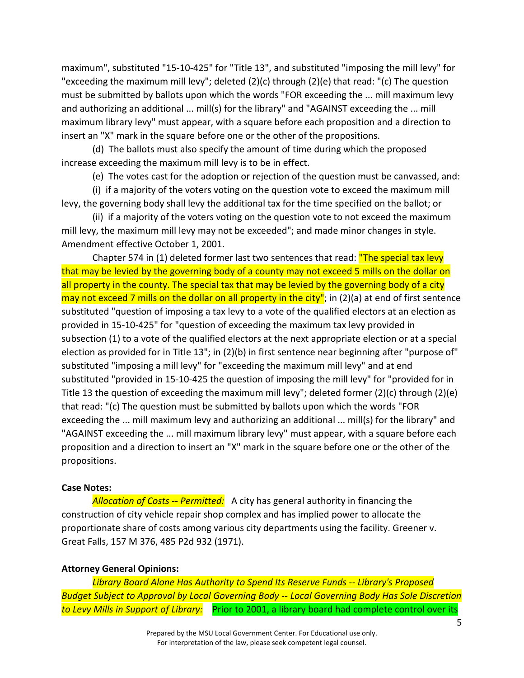maximum", substituted "15-10-425" for "Title 13", and substituted "imposing the mill levy" for "exceeding the maximum mill levy"; deleted (2)(c) through (2)(e) that read: "(c) The question must be submitted by ballots upon which the words "FOR exceeding the ... mill maximum levy and authorizing an additional ... mill(s) for the library" and "AGAINST exceeding the ... mill maximum library levy" must appear, with a square before each proposition and a direction to insert an "X" mark in the square before one or the other of the propositions.

(d) The ballots must also specify the amount of time during which the proposed increase exceeding the maximum mill levy is to be in effect.

(e) The votes cast for the adoption or rejection of the question must be canvassed, and:

(i) if a majority of the voters voting on the question vote to exceed the maximum mill levy, the governing body shall levy the additional tax for the time specified on the ballot; or

(ii) if a majority of the voters voting on the question vote to not exceed the maximum mill levy, the maximum mill levy may not be exceeded"; and made minor changes in style. Amendment effective October 1, 2001.

Chapter 574 in (1) deleted former last two sentences that read: **The special tax levy** that may be levied by the governing body of a county may not exceed 5 mills on the dollar on all property in the county. The special tax that may be levied by the governing body of a city may not exceed 7 mills on the dollar on all property in the city"; in (2)(a) at end of first sentence substituted "question of imposing a tax levy to a vote of the qualified electors at an election as provided in 15-10-425" for "question of exceeding the maximum tax levy provided in subsection (1) to a vote of the qualified electors at the next appropriate election or at a special election as provided for in Title 13"; in (2)(b) in first sentence near beginning after "purpose of" substituted "imposing a mill levy" for "exceeding the maximum mill levy" and at end substituted "provided in 15-10-425 the question of imposing the mill levy" for "provided for in Title 13 the question of exceeding the maximum mill levy"; deleted former (2)(c) through (2)(e) that read: "(c) The question must be submitted by ballots upon which the words "FOR exceeding the ... mill maximum levy and authorizing an additional ... mill(s) for the library" and "AGAINST exceeding the ... mill maximum library levy" must appear, with a square before each proposition and a direction to insert an "X" mark in the square before one or the other of the propositions.

### **Case Notes:**

*Allocation of Costs -- Permitted:* A city has general authority in financing the construction of city vehicle repair shop complex and has implied power to allocate the proportionate share of costs among various city departments using the facility. Greener v. Great Falls, 157 M 376, 485 P2d 932 (1971).

### **Attorney General Opinions:**

*Library Board Alone Has Authority to Spend Its Reserve Funds -- Library's Proposed Budget Subject to Approval by Local Governing Body -- Local Governing Body Has Sole Discretion to Levy Mills in Support of Library:* Prior to 2001, a library board had complete control over its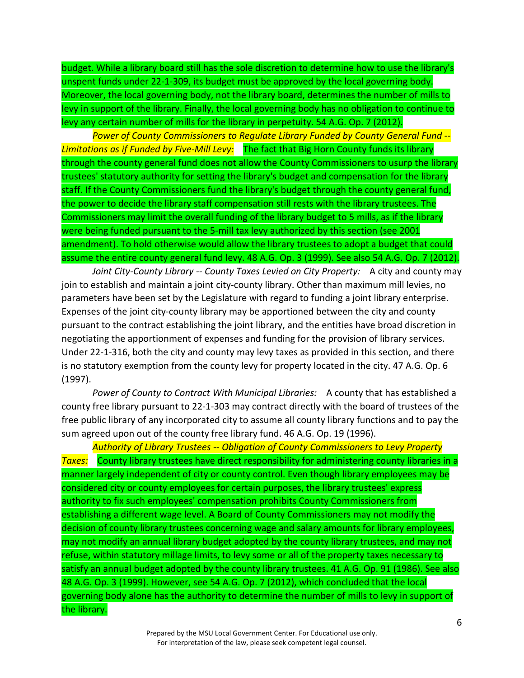budget. While a library board still has the sole discretion to determine how to use the library's unspent funds under 22-1-309, its budget must be approved by the local governing body. Moreover, the local governing body, not the library board, determines the number of mills to levy in support of the library. Finally, the local governing body has no obligation to continue to levy any certain number of mills for the library in perpetuity. 54 A.G. Op. 7 (2012).

*Power of County Commissioners to Regulate Library Funded by County General Fund -- Limitations as if Funded by Five-Mill Levy:* The fact that Big Horn County funds its library through the county general fund does not allow the County Commissioners to usurp the library trustees' statutory authority for setting the library's budget and compensation for the library staff. If the County Commissioners fund the library's budget through the county general fund, the power to decide the library staff compensation still rests with the library trustees. The Commissioners may limit the overall funding of the library budget to 5 mills, as if the library were being funded pursuant to the 5-mill tax levy authorized by this section (see 2001 amendment). To hold otherwise would allow the library trustees to adopt a budget that could assume the entire county general fund levy. 48 A.G. Op. 3 (1999). See also 54 A.G. Op. 7 (2012).

*Joint City-County Library -- County Taxes Levied on City Property:* A city and county may join to establish and maintain a joint city-county library. Other than maximum mill levies, no parameters have been set by the Legislature with regard to funding a joint library enterprise. Expenses of the joint city-county library may be apportioned between the city and county pursuant to the contract establishing the joint library, and the entities have broad discretion in negotiating the apportionment of expenses and funding for the provision of library services. Under 22-1-316, both the city and county may levy taxes as provided in this section, and there is no statutory exemption from the county levy for property located in the city. 47 A.G. Op. 6 (1997).

*Power of County to Contract With Municipal Libraries:* A county that has established a county free library pursuant to 22-1-303 may contract directly with the board of trustees of the free public library of any incorporated city to assume all county library functions and to pay the sum agreed upon out of the county free library fund. 46 A.G. Op. 19 (1996).

*Authority of Library Trustees -- Obligation of County Commissioners to Levy Property Taxes:* County library trustees have direct responsibility for administering county libraries in a manner largely independent of city or county control. Even though library employees may be considered city or county employees for certain purposes, the library trustees' express authority to fix such employees' compensation prohibits County Commissioners from establishing a different wage level. A Board of County Commissioners may not modify the decision of county library trustees concerning wage and salary amounts for library employees, may not modify an annual library budget adopted by the county library trustees, and may not refuse, within statutory millage limits, to levy some or all of the property taxes necessary to satisfy an annual budget adopted by the county library trustees. 41 A.G. Op. 91 (1986). See also 48 A.G. Op. 3 (1999). However, see 54 A.G. Op. 7 (2012), which concluded that the local governing body alone has the authority to determine the number of mills to levy in support of the library.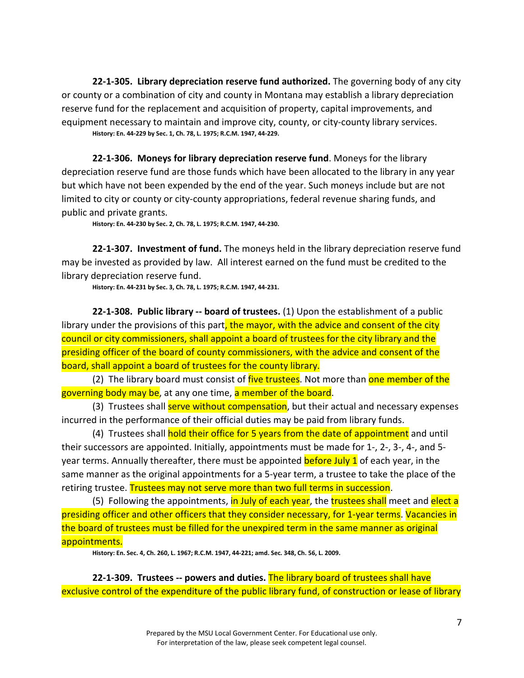**22-1-305. Library depreciation reserve fund authorized.** The governing body of any city or county or a combination of city and county in Montana may establish a library depreciation reserve fund for the replacement and acquisition of property, capital improvements, and equipment necessary to maintain and improve city, county, or city-county library services. **History: En. 44-229 by Sec. 1, Ch. 78, L. 1975; R.C.M. 1947, 44-229.** 

**22-1-306. Moneys for library depreciation reserve fund**. Moneys for the library depreciation reserve fund are those funds which have been allocated to the library in any year but which have not been expended by the end of the year. Such moneys include but are not limited to city or county or city-county appropriations, federal revenue sharing funds, and public and private grants.

**History: En. 44-230 by Sec. 2, Ch. 78, L. 1975; R.C.M. 1947, 44-230.** 

**22-1-307. Investment of fund.** The moneys held in the library depreciation reserve fund may be invested as provided by law. All interest earned on the fund must be credited to the library depreciation reserve fund.

**History: En. 44-231 by Sec. 3, Ch. 78, L. 1975; R.C.M. 1947, 44-231.**

**22-1-308. Public library -- board of trustees.** (1) Upon the establishment of a public library under the provisions of this part, the mayor, with the advice and consent of the city council or city commissioners, shall appoint a board of trustees for the city library and the presiding officer of the board of county commissioners, with the advice and consent of the board, shall appoint a board of trustees for the county library.

(2) The library board must consist of five trustees. Not more than one member of the governing body may be, at any one time, a member of the board.

(3) Trustees shall serve without compensation, but their actual and necessary expenses incurred in the performance of their official duties may be paid from library funds.

(4) Trustees shall hold their office for 5 years from the date of appointment and until their successors are appointed. Initially, appointments must be made for 1-, 2-, 3-, 4-, and 5 year terms. Annually thereafter, there must be appointed **before July 1** of each year, in the same manner as the original appointments for a 5-year term, a trustee to take the place of the retiring trustee. Trustees may not serve more than two full terms in succession.

(5) Following the appointments, in July of each year, the trustees shall meet and elect a presiding officer and other officers that they consider necessary, for 1-year terms. Vacancies in the board of trustees must be filled for the unexpired term in the same manner as original appointments.

**History: En. Sec. 4, Ch. 260, L. 1967; R.C.M. 1947, 44-221; amd. Sec. 348, Ch. 56, L. 2009.**

**22-1-309. Trustees -- powers and duties.** The library board of trustees shall have exclusive control of the expenditure of the public library fund, of construction or lease of library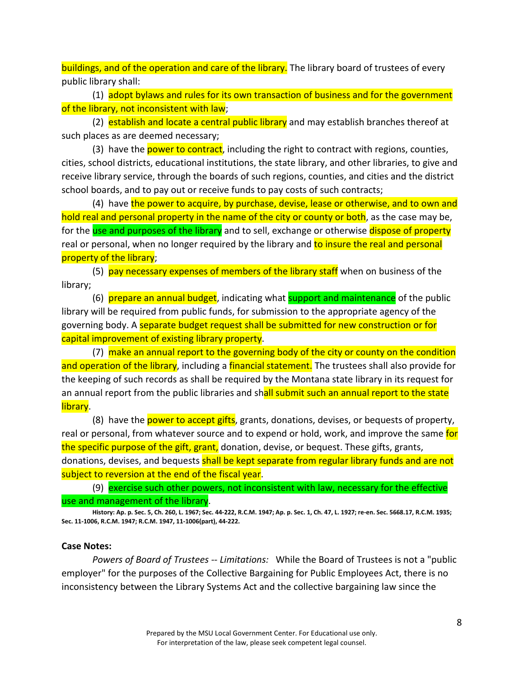buildings, and of the operation and care of the library. The library board of trustees of every public library shall:

(1) adopt bylaws and rules for its own transaction of business and for the government of the library, not inconsistent with law;

(2) establish and locate a central public library and may establish branches thereof at such places as are deemed necessary;

(3) have the power to contract, including the right to contract with regions, counties, cities, school districts, educational institutions, the state library, and other libraries, to give and receive library service, through the boards of such regions, counties, and cities and the district school boards, and to pay out or receive funds to pay costs of such contracts;

(4) have the power to acquire, by purchase, devise, lease or otherwise, and to own and hold real and personal property in the name of the city or county or both, as the case may be, for the use and purposes of the library and to sell, exchange or otherwise dispose of property real or personal, when no longer required by the library and to insure the real and personal property of the library;

(5) pay necessary expenses of members of the library staff when on business of the library;

(6) prepare an annual budget, indicating what **support and maintenance** of the public library will be required from public funds, for submission to the appropriate agency of the governing body. A separate budget request shall be submitted for new construction or for capital improvement of existing library property.

(7) make an annual report to the governing body of the city or county on the condition and operation of the library, including a financial statement. The trustees shall also provide for the keeping of such records as shall be required by the Montana state library in its request for an annual report from the public libraries and shall submit such an annual report to the state library.

(8) have the power to accept gifts, grants, donations, devises, or bequests of property, real or personal, from whatever source and to expend or hold, work, and improve the same for the specific purpose of the gift, grant, donation, devise, or bequest. These gifts, grants, donations, devises, and bequests shall be kept separate from regular library funds and are not subject to reversion at the end of the fiscal year.

(9) exercise such other powers, not inconsistent with law, necessary for the effective use and management of the library.

**History: Ap. p. Sec. 5, Ch. 260, L. 1967; Sec. 44-222, R.C.M. 1947; Ap. p. Sec. 1, Ch. 47, L. 1927; re-en. Sec. 5668.17, R.C.M. 1935; Sec. 11-1006, R.C.M. 1947; R.C.M. 1947, 11-1006(part), 44-222.** 

### **Case Notes:**

*Powers of Board of Trustees -- Limitations:* While the Board of Trustees is not a "public employer" for the purposes of the Collective Bargaining for Public Employees Act, there is no inconsistency between the Library Systems Act and the collective bargaining law since the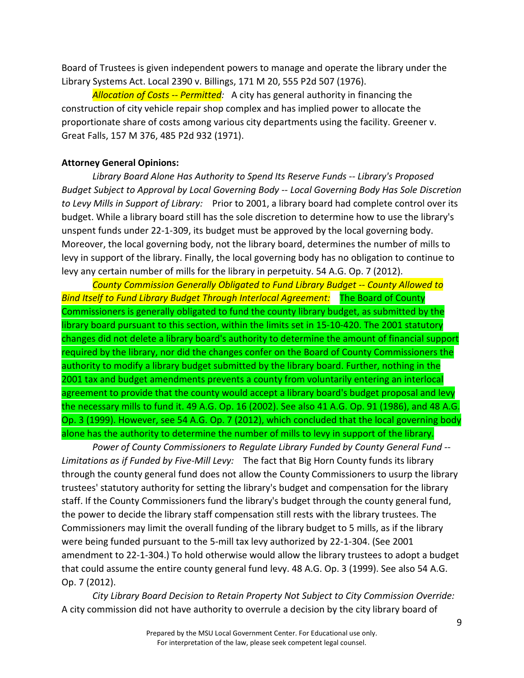Board of Trustees is given independent powers to manage and operate the library under the Library Systems Act. Local 2390 v. Billings, 171 M 20, 555 P2d 507 (1976).

*Allocation of Costs -- Permitted:* A city has general authority in financing the construction of city vehicle repair shop complex and has implied power to allocate the proportionate share of costs among various city departments using the facility. Greener v. Great Falls, 157 M 376, 485 P2d 932 (1971).

# **Attorney General Opinions:**

*Library Board Alone Has Authority to Spend Its Reserve Funds -- Library's Proposed Budget Subject to Approval by Local Governing Body -- Local Governing Body Has Sole Discretion to Levy Mills in Support of Library:* Prior to 2001, a library board had complete control over its budget. While a library board still has the sole discretion to determine how to use the library's unspent funds under 22-1-309, its budget must be approved by the local governing body. Moreover, the local governing body, not the library board, determines the number of mills to levy in support of the library. Finally, the local governing body has no obligation to continue to levy any certain number of mills for the library in perpetuity. 54 A.G. Op. 7 (2012).

*County Commission Generally Obligated to Fund Library Budget -- County Allowed to Bind Itself to Fund Library Budget Through Interlocal Agreement:* The Board of County Commissioners is generally obligated to fund the county library budget, as submitted by the library board pursuant to this section, within the limits set in 15-10-420. The 2001 statutory changes did not delete a library board's authority to determine the amount of financial support required by the library, nor did the changes confer on the Board of County Commissioners the authority to modify a library budget submitted by the library board. Further, nothing in the 2001 tax and budget amendments prevents a county from voluntarily entering an interlocal agreement to provide that the county would accept a library board's budget proposal and levy the necessary mills to fund it. 49 A.G. Op. 16 (2002). See also 41 A.G. Op. 91 (1986), and 48 A.G. Op. 3 (1999). However, see 54 A.G. Op. 7 (2012), which concluded that the local governing body alone has the authority to determine the number of mills to levy in support of the library.

*Power of County Commissioners to Regulate Library Funded by County General Fund -- Limitations as if Funded by Five-Mill Levy:* The fact that Big Horn County funds its library through the county general fund does not allow the County Commissioners to usurp the library trustees' statutory authority for setting the library's budget and compensation for the library staff. If the County Commissioners fund the library's budget through the county general fund, the power to decide the library staff compensation still rests with the library trustees. The Commissioners may limit the overall funding of the library budget to 5 mills, as if the library were being funded pursuant to the 5-mill tax levy authorized by 22-1-304. (See 2001 amendment to 22-1-304.) To hold otherwise would allow the library trustees to adopt a budget that could assume the entire county general fund levy. 48 A.G. Op. 3 (1999). See also 54 A.G. Op. 7 (2012).

*City Library Board Decision to Retain Property Not Subject to City Commission Override:* A city commission did not have authority to overrule a decision by the city library board of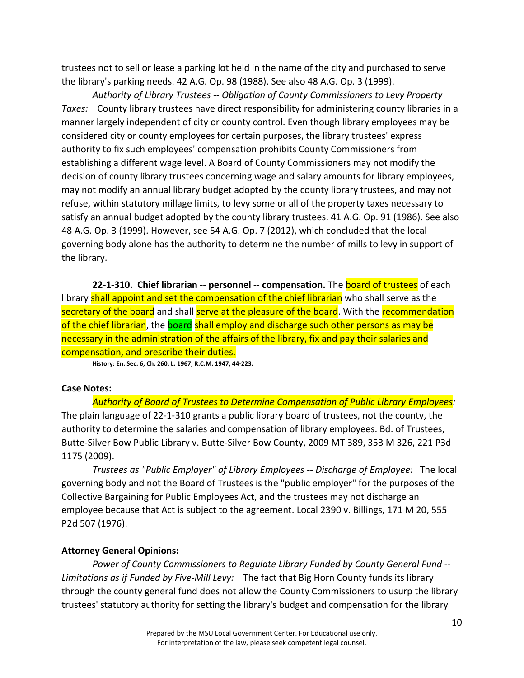trustees not to sell or lease a parking lot held in the name of the city and purchased to serve the library's parking needs. 42 A.G. Op. 98 (1988). See also 48 A.G. Op. 3 (1999).

*Authority of Library Trustees -- Obligation of County Commissioners to Levy Property Taxes:* County library trustees have direct responsibility for administering county libraries in a manner largely independent of city or county control. Even though library employees may be considered city or county employees for certain purposes, the library trustees' express authority to fix such employees' compensation prohibits County Commissioners from establishing a different wage level. A Board of County Commissioners may not modify the decision of county library trustees concerning wage and salary amounts for library employees, may not modify an annual library budget adopted by the county library trustees, and may not refuse, within statutory millage limits, to levy some or all of the property taxes necessary to satisfy an annual budget adopted by the county library trustees. 41 A.G. Op. 91 (1986). See also 48 A.G. Op. 3 (1999). However, see 54 A.G. Op. 7 (2012), which concluded that the local governing body alone has the authority to determine the number of mills to levy in support of the library.

**22-1-310. Chief librarian -- personnel -- compensation.** The board of trustees of each library shall appoint and set the compensation of the chief librarian who shall serve as the secretary of the board and shall serve at the pleasure of the board. With the recommendation of the chief librarian, the board shall employ and discharge such other persons as may be necessary in the administration of the affairs of the library, fix and pay their salaries and compensation, and prescribe their duties.

**History: En. Sec. 6, Ch. 260, L. 1967; R.C.M. 1947, 44-223.** 

### **Case Notes:**

*Authority of Board of Trustees to Determine Compensation of Public Library Employees:*  The plain language of 22-1-310 grants a public library board of trustees, not the county, the authority to determine the salaries and compensation of library employees. Bd. of Trustees, Butte-Silver Bow Public Library v. Butte-Silver Bow County, 2009 MT 389, 353 M 326, 221 P3d 1175 (2009).

*Trustees as "Public Employer" of Library Employees -- Discharge of Employee:* The local governing body and not the Board of Trustees is the "public employer" for the purposes of the Collective Bargaining for Public Employees Act, and the trustees may not discharge an employee because that Act is subject to the agreement. Local 2390 v. Billings, 171 M 20, 555 P2d 507 (1976).

### **Attorney General Opinions:**

*Power of County Commissioners to Regulate Library Funded by County General Fund -- Limitations as if Funded by Five-Mill Levy:* The fact that Big Horn County funds its library through the county general fund does not allow the County Commissioners to usurp the library trustees' statutory authority for setting the library's budget and compensation for the library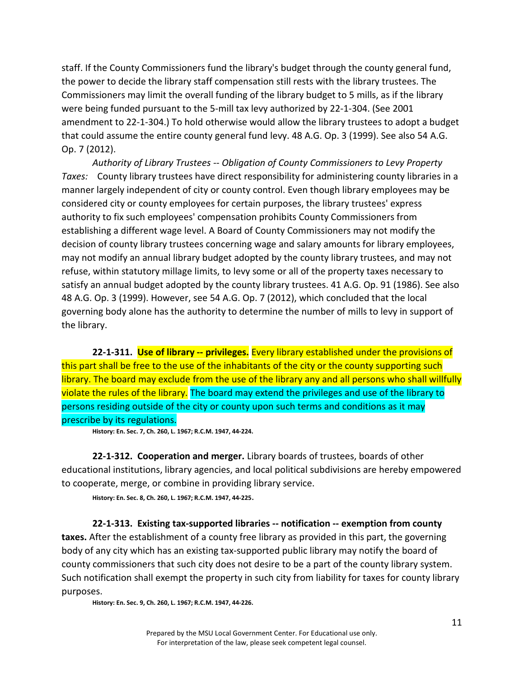staff. If the County Commissioners fund the library's budget through the county general fund, the power to decide the library staff compensation still rests with the library trustees. The Commissioners may limit the overall funding of the library budget to 5 mills, as if the library were being funded pursuant to the 5-mill tax levy authorized by 22-1-304. (See 2001 amendment to 22-1-304.) To hold otherwise would allow the library trustees to adopt a budget that could assume the entire county general fund levy. 48 A.G. Op. 3 (1999). See also 54 A.G. Op. 7 (2012).

*Authority of Library Trustees -- Obligation of County Commissioners to Levy Property Taxes:* County library trustees have direct responsibility for administering county libraries in a manner largely independent of city or county control. Even though library employees may be considered city or county employees for certain purposes, the library trustees' express authority to fix such employees' compensation prohibits County Commissioners from establishing a different wage level. A Board of County Commissioners may not modify the decision of county library trustees concerning wage and salary amounts for library employees, may not modify an annual library budget adopted by the county library trustees, and may not refuse, within statutory millage limits, to levy some or all of the property taxes necessary to satisfy an annual budget adopted by the county library trustees. 41 A.G. Op. 91 (1986). See also 48 A.G. Op. 3 (1999). However, see 54 A.G. Op. 7 (2012), which concluded that the local governing body alone has the authority to determine the number of mills to levy in support of the library.

**22-1-311. Use of library -- privileges.** Every library established under the provisions of this part shall be free to the use of the inhabitants of the city or the county supporting such library. The board may exclude from the use of the library any and all persons who shall willfully violate the rules of the library. The board may extend the privileges and use of the library to persons residing outside of the city or county upon such terms and conditions as it may prescribe by its regulations.

**History: En. Sec. 7, Ch. 260, L. 1967; R.C.M. 1947, 44-224.** 

**22-1-312. Cooperation and merger.** Library boards of trustees, boards of other educational institutions, library agencies, and local political subdivisions are hereby empowered to cooperate, merge, or combine in providing library service.

**History: En. Sec. 8, Ch. 260, L. 1967; R.C.M. 1947, 44-225**.

**22-1-313. Existing tax-supported libraries -- notification -- exemption from county taxes.** After the establishment of a county free library as provided in this part, the governing body of any city which has an existing tax-supported public library may notify the board of county commissioners that such city does not desire to be a part of the county library system. Such notification shall exempt the property in such city from liability for taxes for county library purposes.

**History: En. Sec. 9, Ch. 260, L. 1967; R.C.M. 1947, 44-226.**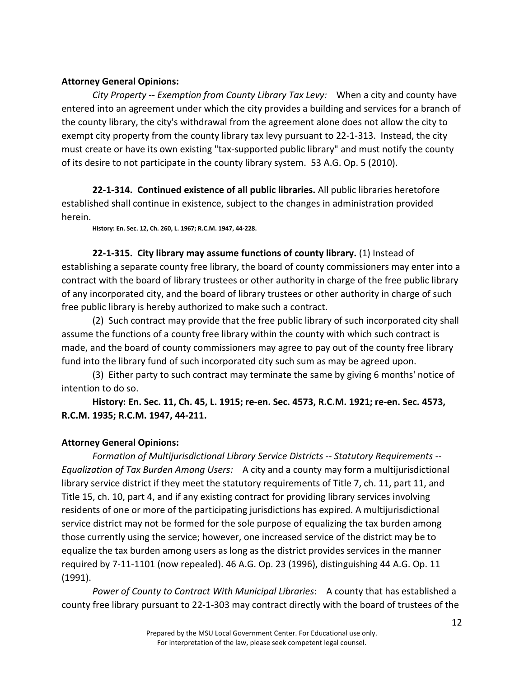# **Attorney General Opinions:**

*City Property -- Exemption from County Library Tax Levy:* When a city and county have entered into an agreement under which the city provides a building and services for a branch of the county library, the city's withdrawal from the agreement alone does not allow the city to exempt city property from the county library tax levy pursuant to 22-1-313. Instead, the city must create or have its own existing "tax-supported public library" and must notify the county of its desire to not participate in the county library system. 53 A.G. Op. 5 (2010).

**22-1-314. Continued existence of all public libraries.** All public libraries heretofore established shall continue in existence, subject to the changes in administration provided herein.

**History: En. Sec. 12, Ch. 260, L. 1967; R.C.M. 1947, 44-228.** 

**22-1-315. City library may assume functions of county library.** (1) Instead of establishing a separate county free library, the board of county commissioners may enter into a contract with the board of library trustees or other authority in charge of the free public library of any incorporated city, and the board of library trustees or other authority in charge of such free public library is hereby authorized to make such a contract.

(2) Such contract may provide that the free public library of such incorporated city shall assume the functions of a county free library within the county with which such contract is made, and the board of county commissioners may agree to pay out of the county free library fund into the library fund of such incorporated city such sum as may be agreed upon.

(3) Either party to such contract may terminate the same by giving 6 months' notice of intention to do so.

**History: En. Sec. 11, Ch. 45, L. 1915; re-en. Sec. 4573, R.C.M. 1921; re-en. Sec. 4573, R.C.M. 1935; R.C.M. 1947, 44-211.** 

# **Attorney General Opinions:**

*Formation of Multijurisdictional Library Service Districts -- Statutory Requirements -- Equalization of Tax Burden Among Users:* A city and a county may form a multijurisdictional library service district if they meet the statutory requirements of Title 7, ch. 11, part 11, and Title 15, ch. 10, part 4, and if any existing contract for providing library services involving residents of one or more of the participating jurisdictions has expired. A multijurisdictional service district may not be formed for the sole purpose of equalizing the tax burden among those currently using the service; however, one increased service of the district may be to equalize the tax burden among users as long as the district provides services in the manner required by 7-11-1101 (now repealed). 46 A.G. Op. 23 (1996), distinguishing 44 A.G. Op. 11 (1991).

*Power of County to Contract With Municipal Libraries*: A county that has established a county free library pursuant to 22-1-303 may contract directly with the board of trustees of the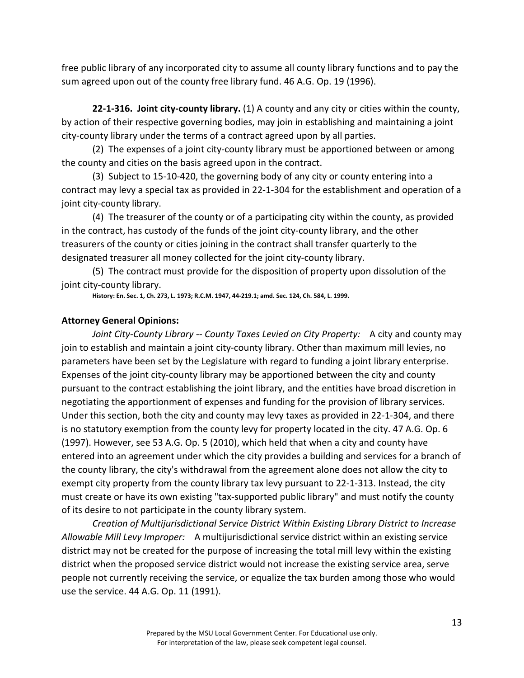free public library of any incorporated city to assume all county library functions and to pay the sum agreed upon out of the county free library fund. 46 A.G. Op. 19 (1996).

**22-1-316. Joint city-county library.** (1) A county and any city or cities within the county, by action of their respective governing bodies, may join in establishing and maintaining a joint city-county library under the terms of a contract agreed upon by all parties.

(2) The expenses of a joint city-county library must be apportioned between or among the county and cities on the basis agreed upon in the contract.

(3) Subject to 15-10-420, the governing body of any city or county entering into a contract may levy a special tax as provided in 22-1-304 for the establishment and operation of a joint city-county library.

(4) The treasurer of the county or of a participating city within the county, as provided in the contract, has custody of the funds of the joint city-county library, and the other treasurers of the county or cities joining in the contract shall transfer quarterly to the designated treasurer all money collected for the joint city-county library.

(5) The contract must provide for the disposition of property upon dissolution of the joint city-county library.

**History: En. Sec. 1, Ch. 273, L. 1973; R.C.M. 1947, 44-219.1; amd. Sec. 124, Ch. 584, L. 1999.** 

# **Attorney General Opinions:**

*Joint City-County Library -- County Taxes Levied on City Property:* A city and county may join to establish and maintain a joint city-county library. Other than maximum mill levies, no parameters have been set by the Legislature with regard to funding a joint library enterprise. Expenses of the joint city-county library may be apportioned between the city and county pursuant to the contract establishing the joint library, and the entities have broad discretion in negotiating the apportionment of expenses and funding for the provision of library services. Under this section, both the city and county may levy taxes as provided in 22-1-304, and there is no statutory exemption from the county levy for property located in the city. 47 A.G. Op. 6 (1997). However, see 53 A.G. Op. 5 (2010), which held that when a city and county have entered into an agreement under which the city provides a building and services for a branch of the county library, the city's withdrawal from the agreement alone does not allow the city to exempt city property from the county library tax levy pursuant to 22-1-313. Instead, the city must create or have its own existing "tax-supported public library" and must notify the county of its desire to not participate in the county library system.

*Creation of Multijurisdictional Service District Within Existing Library District to Increase Allowable Mill Levy Improper:* A multijurisdictional service district within an existing service district may not be created for the purpose of increasing the total mill levy within the existing district when the proposed service district would not increase the existing service area, serve people not currently receiving the service, or equalize the tax burden among those who would use the service. 44 A.G. Op. 11 (1991).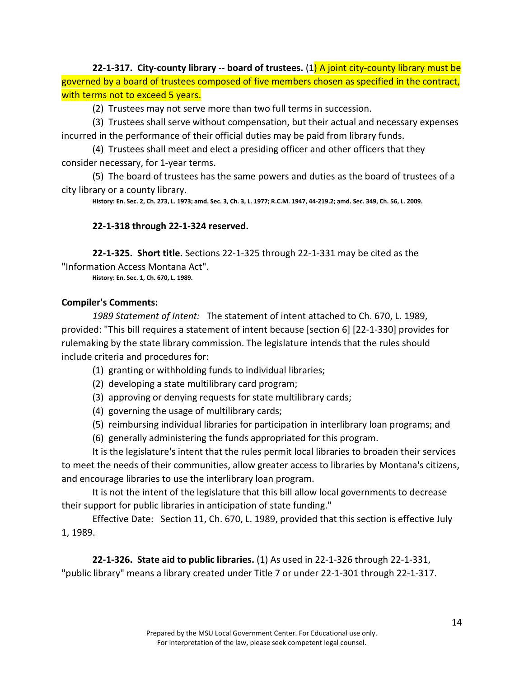**22-1-317. City-county library -- board of trustees.** (1) A joint city-county library must be governed by a board of trustees composed of five members chosen as specified in the contract, with terms not to exceed 5 years.

(2) Trustees may not serve more than two full terms in succession.

(3) Trustees shall serve without compensation, but their actual and necessary expenses incurred in the performance of their official duties may be paid from library funds.

(4) Trustees shall meet and elect a presiding officer and other officers that they consider necessary, for 1-year terms.

(5) The board of trustees has the same powers and duties as the board of trustees of a city library or a county library.

**History: En. Sec. 2, Ch. 273, L. 1973; amd. Sec. 3, Ch. 3, L. 1977; R.C.M. 1947, 44-219.2; amd. Sec. 349, Ch. 56, L. 2009.** 

# **22-1-318 through 22-1-324 reserved.**

**22-1-325. Short title.** Sections 22-1-325 through 22-1-331 may be cited as the

"Information Access Montana Act". **History: En. Sec. 1, Ch. 670, L. 1989.** 

# **Compiler's Comments:**

*1989 Statement of Intent:* The statement of intent attached to Ch. 670, L. 1989, provided: "This bill requires a statement of intent because [section 6] [22-1-330] provides for rulemaking by the state library commission. The legislature intends that the rules should include criteria and procedures for:

(1) granting or withholding funds to individual libraries;

- (2) developing a state multilibrary card program;
- (3) approving or denying requests for state multilibrary cards;
- (4) governing the usage of multilibrary cards;
- (5) reimbursing individual libraries for participation in interlibrary loan programs; and
- (6) generally administering the funds appropriated for this program.

It is the legislature's intent that the rules permit local libraries to broaden their services to meet the needs of their communities, allow greater access to libraries by Montana's citizens, and encourage libraries to use the interlibrary loan program.

It is not the intent of the legislature that this bill allow local governments to decrease their support for public libraries in anticipation of state funding."

Effective Date: Section 11, Ch. 670, L. 1989, provided that this section is effective July 1, 1989.

**22-1-326. State aid to public libraries.** (1) As used in 22-1-326 through 22-1-331, "public library" means a library created under Title 7 or under 22-1-301 through 22-1-317.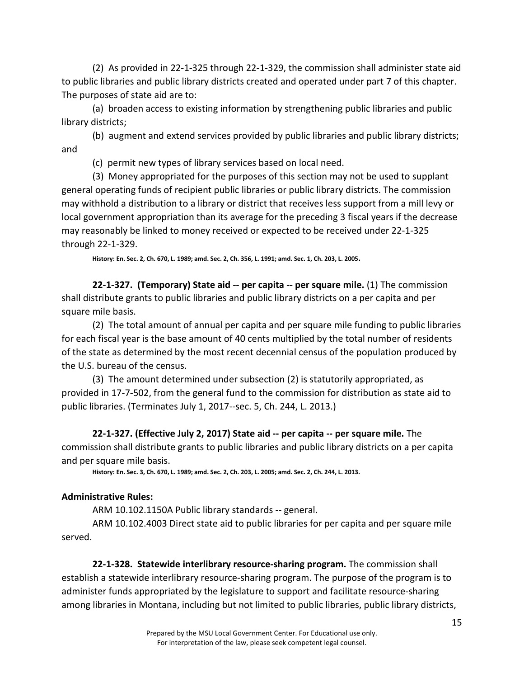(2) As provided in 22-1-325 through 22-1-329, the commission shall administer state aid to public libraries and public library districts created and operated under part 7 of this chapter. The purposes of state aid are to:

(a) broaden access to existing information by strengthening public libraries and public library districts;

(b) augment and extend services provided by public libraries and public library districts; and

(c) permit new types of library services based on local need.

(3) Money appropriated for the purposes of this section may not be used to supplant general operating funds of recipient public libraries or public library districts. The commission may withhold a distribution to a library or district that receives less support from a mill levy or local government appropriation than its average for the preceding 3 fiscal years if the decrease may reasonably be linked to money received or expected to be received under 22-1-325 through 22-1-329.

**History: En. Sec. 2, Ch. 670, L. 1989; amd. Sec. 2, Ch. 356, L. 1991; amd. Sec. 1, Ch. 203, L. 2005**.

**22-1-327. (Temporary) State aid -- per capita -- per square mile.** (1) The commission shall distribute grants to public libraries and public library districts on a per capita and per square mile basis.

(2) The total amount of annual per capita and per square mile funding to public libraries for each fiscal year is the base amount of 40 cents multiplied by the total number of residents of the state as determined by the most recent decennial census of the population produced by the U.S. bureau of the census.

(3) The amount determined under subsection (2) is statutorily appropriated, as provided in 17-7-502, from the general fund to the commission for distribution as state aid to public libraries. (Terminates July 1, 2017--sec. 5, Ch. 244, L. 2013.)

**22-1-327. (Effective July 2, 2017) State aid -- per capita -- per square mile.** The commission shall distribute grants to public libraries and public library districts on a per capita and per square mile basis.

**History: En. Sec. 3, Ch. 670, L. 1989; amd. Sec. 2, Ch. 203, L. 2005; amd. Sec. 2, Ch. 244, L. 2013.** 

# **Administrative Rules:**

ARM 10.102.1150A Public library standards -- general.

ARM 10.102.4003 Direct state aid to public libraries for per capita and per square mile served.

**22-1-328. Statewide interlibrary resource-sharing program.** The commission shall establish a statewide interlibrary resource-sharing program. The purpose of the program is to administer funds appropriated by the legislature to support and facilitate resource-sharing among libraries in Montana, including but not limited to public libraries, public library districts,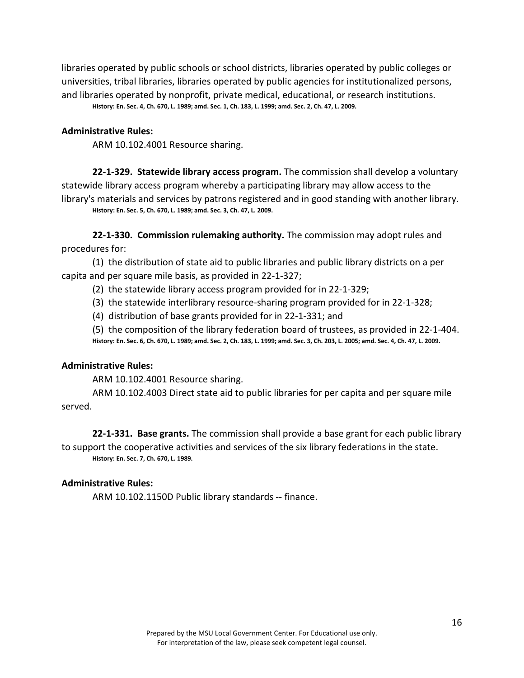libraries operated by public schools or school districts, libraries operated by public colleges or universities, tribal libraries, libraries operated by public agencies for institutionalized persons, and libraries operated by nonprofit, private medical, educational, or research institutions. **History: En. Sec. 4, Ch. 670, L. 1989; amd. Sec. 1, Ch. 183, L. 1999; amd. Sec. 2, Ch. 47, L. 2009.** 

#### **Administrative Rules:**

ARM 10.102.4001 Resource sharing.

**22-1-329. Statewide library access program.** The commission shall develop a voluntary statewide library access program whereby a participating library may allow access to the library's materials and services by patrons registered and in good standing with another library. **History: En. Sec. 5, Ch. 670, L. 1989; amd. Sec. 3, Ch. 47, L. 2009.** 

**22-1-330. Commission rulemaking authority.** The commission may adopt rules and procedures for:

(1) the distribution of state aid to public libraries and public library districts on a per capita and per square mile basis, as provided in 22-1-327;

- (2) the statewide library access program provided for in 22-1-329;
- (3) the statewide interlibrary resource-sharing program provided for in 22-1-328;
- (4) distribution of base grants provided for in 22-1-331; and

(5) the composition of the library federation board of trustees, as provided in 22-1-404. **History: En. Sec. 6, Ch. 670, L. 1989; amd. Sec. 2, Ch. 183, L. 1999; amd. Sec. 3, Ch. 203, L. 2005; amd. Sec. 4, Ch. 47, L. 2009.** 

### **Administrative Rules:**

ARM 10.102.4001 Resource sharing.

ARM 10.102.4003 Direct state aid to public libraries for per capita and per square mile served.

**22-1-331. Base grants.** The commission shall provide a base grant for each public library to support the cooperative activities and services of the six library federations in the state. **History: En. Sec. 7, Ch. 670, L. 1989.** 

### **Administrative Rules:**

ARM 10.102.1150D Public library standards -- finance.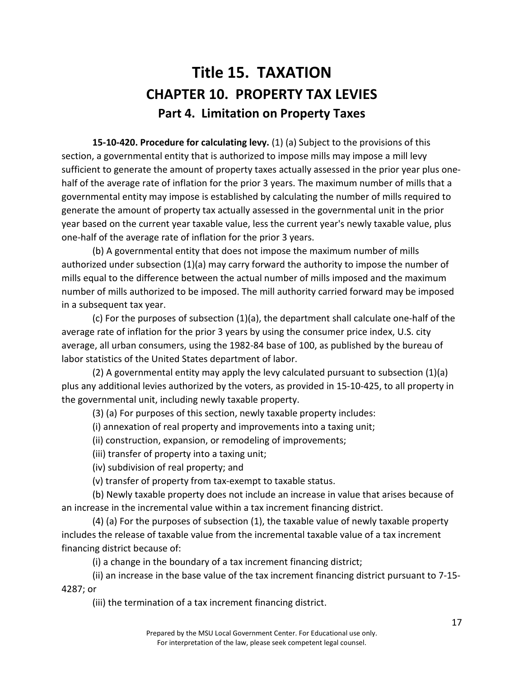# **Title 15. TAXATION CHAPTER 10. PROPERTY TAX LEVIES Part 4. Limitation on Property Taxes**

**15-10-420. Procedure for calculating levy.** (1) (a) Subject to the provisions of this section, a governmental entity that is authorized to impose mills may impose a mill levy sufficient to generate the amount of property taxes actually assessed in the prior year plus onehalf of the average rate of inflation for the prior 3 years. The maximum number of mills that a governmental entity may impose is established by calculating the number of mills required to generate the amount of property tax actually assessed in the governmental unit in the prior year based on the current year taxable value, less the current year's newly taxable value, plus one-half of the average rate of inflation for the prior 3 years.

(b) A governmental entity that does not impose the maximum number of mills authorized under subsection (1)(a) may carry forward the authority to impose the number of mills equal to the difference between the actual number of mills imposed and the maximum number of mills authorized to be imposed. The mill authority carried forward may be imposed in a subsequent tax year.

(c) For the purposes of subsection (1)(a), the department shall calculate one-half of the average rate of inflation for the prior 3 years by using the consumer price index, U.S. city average, all urban consumers, using the 1982-84 base of 100, as published by the bureau of labor statistics of the United States department of labor.

(2) A governmental entity may apply the levy calculated pursuant to subsection (1)(a) plus any additional levies authorized by the voters, as provided in 15-10-425, to all property in the governmental unit, including newly taxable property.

(3) (a) For purposes of this section, newly taxable property includes:

(i) annexation of real property and improvements into a taxing unit;

(ii) construction, expansion, or remodeling of improvements;

(iii) transfer of property into a taxing unit;

(iv) subdivision of real property; and

(v) transfer of property from tax-exempt to taxable status.

(b) Newly taxable property does not include an increase in value that arises because of an increase in the incremental value within a tax increment financing district.

(4) (a) For the purposes of subsection (1), the taxable value of newly taxable property includes the release of taxable value from the incremental taxable value of a tax increment financing district because of:

(i) a change in the boundary of a tax increment financing district;

(ii) an increase in the base value of the tax increment financing district pursuant to 7-15- 4287; or

(iii) the termination of a tax increment financing district.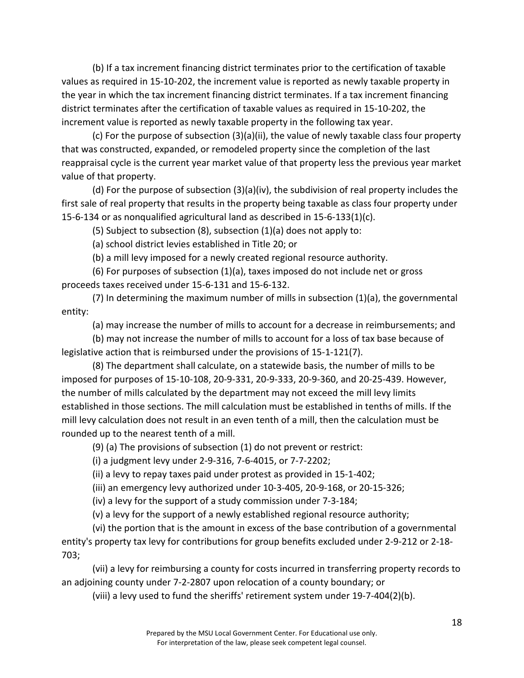(b) If a tax increment financing district terminates prior to the certification of taxable values as required in 15-10-202, the increment value is reported as newly taxable property in the year in which the tax increment financing district terminates. If a tax increment financing district terminates after the certification of taxable values as required in 15-10-202, the increment value is reported as newly taxable property in the following tax year.

(c) For the purpose of subsection (3)(a)(ii), the value of newly taxable class four property that was constructed, expanded, or remodeled property since the completion of the last reappraisal cycle is the current year market value of that property less the previous year market value of that property.

(d) For the purpose of subsection (3)(a)(iv), the subdivision of real property includes the first sale of real property that results in the property being taxable as class four property under 15-6-134 or as nonqualified agricultural land as described in 15-6-133(1)(c).

(5) Subject to subsection (8), subsection (1)(a) does not apply to:

(a) school district levies established in Title 20; or

(b) a mill levy imposed for a newly created regional resource authority.

(6) For purposes of subsection (1)(a), taxes imposed do not include net or gross proceeds taxes received under 15-6-131 and 15-6-132.

(7) In determining the maximum number of mills in subsection (1)(a), the governmental entity:

(a) may increase the number of mills to account for a decrease in reimbursements; and

(b) may not increase the number of mills to account for a loss of tax base because of legislative action that is reimbursed under the provisions of 15-1-121(7).

(8) The department shall calculate, on a statewide basis, the number of mills to be imposed for purposes of 15-10-108, 20-9-331, 20-9-333, 20-9-360, and 20-25-439. However, the number of mills calculated by the department may not exceed the mill levy limits established in those sections. The mill calculation must be established in tenths of mills. If the mill levy calculation does not result in an even tenth of a mill, then the calculation must be rounded up to the nearest tenth of a mill.

(9) (a) The provisions of subsection (1) do not prevent or restrict:

(i) a judgment levy under 2-9-316, 7-6-4015, or 7-7-2202;

(ii) a levy to repay taxes paid under protest as provided in 15-1-402;

(iii) an emergency levy authorized under 10-3-405, 20-9-168, or 20-15-326;

(iv) a levy for the support of a study commission under 7-3-184;

(v) a levy for the support of a newly established regional resource authority;

(vi) the portion that is the amount in excess of the base contribution of a governmental entity's property tax levy for contributions for group benefits excluded under 2-9-212 or 2-18- 703;

(vii) a levy for reimbursing a county for costs incurred in transferring property records to an adjoining county under 7-2-2807 upon relocation of a county boundary; or

(viii) a levy used to fund the sheriffs' retirement system under 19-7-404(2)(b).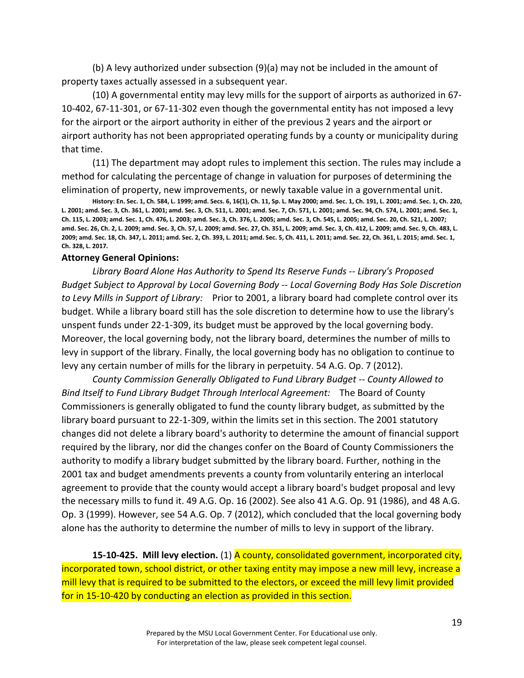(b) A levy authorized under subsection (9)(a) may not be included in the amount of property taxes actually assessed in a subsequent year.

(10) A governmental entity may levy mills for the support of airports as authorized in 67- 10-402, 67-11-301, or 67-11-302 even though the governmental entity has not imposed a levy for the airport or the airport authority in either of the previous 2 years and the airport or airport authority has not been appropriated operating funds by a county or municipality during that time.

(11) The department may adopt rules to implement this section. The rules may include a method for calculating the percentage of change in valuation for purposes of determining the elimination of property, new improvements, or newly taxable value in a governmental unit.

**History: En. Sec. 1, Ch. 584, L. 1999; amd. Secs. 6, 16(1), Ch. 11, Sp. L. May 2000; amd. Sec. 1, Ch. 191, L. 2001; amd. Sec. 1, Ch. 220, L. 2001; amd. Sec. 3, Ch. 361, L. 2001; amd. Sec. 3, Ch. 511, L. 2001; amd. Sec. 7, Ch. 571, L. 2001; amd. Sec. 94, Ch. 574, L. 2001; amd. Sec. 1, Ch. 115, L. 2003; amd. Sec. 1, Ch. 476, L. 2003; amd. Sec. 3, Ch. 376, L. 2005; amd. Sec. 3, Ch. 545, L. 2005; amd. Sec. 20, Ch. 521, L. 2007; amd. Sec. 26, Ch. 2, L. 2009; amd. Sec. 3, Ch. 57, L. 2009; amd. Sec. 27, Ch. 351, L. 2009; amd. Sec. 3, Ch. 412, L. 2009; amd. Sec. 9, Ch. 483, L. 2009; amd. Sec. 18, Ch. 347, L. 2011; amd. Sec. 2, Ch. 393, L. 2011; amd. Sec. 5, Ch. 411, L. 2011; amd. Sec. 22, Ch. 361, L. 2015; amd. Sec. 1, Ch. 328, L. 2017.**

#### **Attorney General Opinions:**

*Library Board Alone Has Authority to Spend Its Reserve Funds -- Library's Proposed Budget Subject to Approval by Local Governing Body -- Local Governing Body Has Sole Discretion to Levy Mills in Support of Library:* Prior to 2001, a library board had complete control over its budget. While a library board still has the sole discretion to determine how to use the library's unspent funds under 22-1-309, its budget must be approved by the local governing body. Moreover, the local governing body, not the library board, determines the number of mills to levy in support of the library. Finally, the local governing body has no obligation to continue to levy any certain number of mills for the library in perpetuity. 54 A.G. Op. 7 (2012).

*County Commission Generally Obligated to Fund Library Budget -- County Allowed to Bind Itself to Fund Library Budget Through Interlocal Agreement:* The Board of County Commissioners is generally obligated to fund the county library budget, as submitted by the library board pursuant to 22-1-309, within the limits set in this section. The 2001 statutory changes did not delete a library board's authority to determine the amount of financial support required by the library, nor did the changes confer on the Board of County Commissioners the authority to modify a library budget submitted by the library board. Further, nothing in the 2001 tax and budget amendments prevents a county from voluntarily entering an interlocal agreement to provide that the county would accept a library board's budget proposal and levy the necessary mills to fund it. 49 A.G. Op. 16 (2002). See also 41 A.G. Op. 91 (1986), and 48 A.G. Op. 3 (1999). However, see 54 A.G. Op. 7 (2012), which concluded that the local governing body alone has the authority to determine the number of mills to levy in support of the library.

**15-10-425. Mill levy election.** (1) A county, consolidated government, incorporated city, incorporated town, school district, or other taxing entity may impose a new mill levy, increase a mill levy that is required to be submitted to the electors, or exceed the mill levy limit provided for in 15-10-420 by conducting an election as provided in this section.